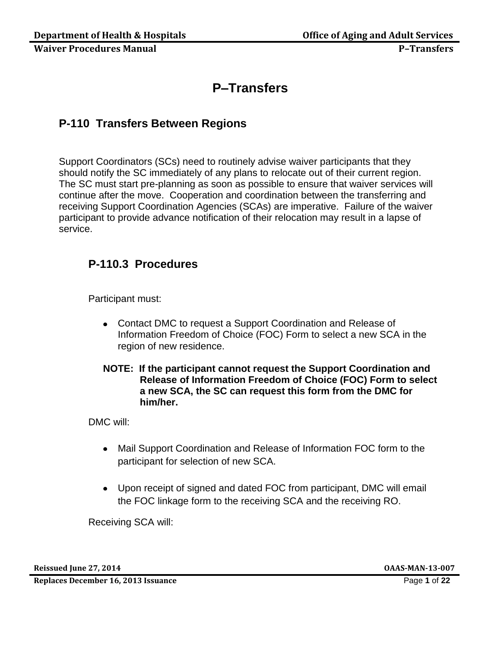# **P–Transfers**

# **P-110 Transfers Between Regions**

Support Coordinators (SCs) need to routinely advise waiver participants that they should notify the SC immediately of any plans to relocate out of their current region. The SC must start pre-planning as soon as possible to ensure that waiver services will continue after the move. Cooperation and coordination between the transferring and receiving Support Coordination Agencies (SCAs) are imperative. Failure of the waiver participant to provide advance notification of their relocation may result in a lapse of service.

# **P-110.3 Procedures**

Participant must:

- Contact DMC to request a Support Coordination and Release of Information Freedom of Choice (FOC) Form to select a new SCA in the region of new residence.
- **NOTE: If the participant cannot request the Support Coordination and Release of Information Freedom of Choice (FOC) Form to select a new SCA, the SC can request this form from the DMC for him/her.**

DMC will:

- $\bullet$ Mail Support Coordination and Release of Information FOC form to the participant for selection of new SCA.
- Upon receipt of signed and dated FOC from participant, DMC will email the FOC linkage form to the receiving SCA and the receiving RO.

Receiving SCA will:

**Reissued June 27, 2014 OAAS-MAN-13-007**

**Replaces December 16, 2013 Issuance** Page **1** of **22**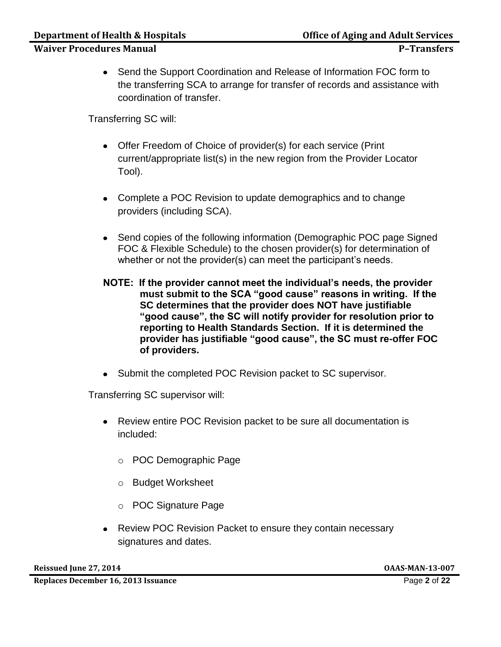• Send the Support Coordination and Release of Information FOC form to the transferring SCA to arrange for transfer of records and assistance with coordination of transfer.

Transferring SC will:

- Offer Freedom of Choice of provider(s) for each service (Print current/appropriate list(s) in the new region from the Provider Locator Tool).
- Complete a POC Revision to update demographics and to change providers (including SCA).
- Send copies of the following information (Demographic POC page Signed FOC & Flexible Schedule) to the chosen provider(s) for determination of whether or not the provider(s) can meet the participant's needs.
- **NOTE: If the provider cannot meet the individual's needs, the provider must submit to the SCA "good cause" reasons in writing. If the SC determines that the provider does NOT have justifiable "good cause", the SC will notify provider for resolution prior to reporting to Health Standards Section. If it is determined the provider has justifiable "good cause", the SC must re-offer FOC of providers.**
- Submit the completed POC Revision packet to SC supervisor.

Transferring SC supervisor will:

- Review entire POC Revision packet to be sure all documentation is included:
	- o POC Demographic Page
	- o Budget Worksheet
	- o POC Signature Page
- Review POC Revision Packet to ensure they contain necessary signatures and dates.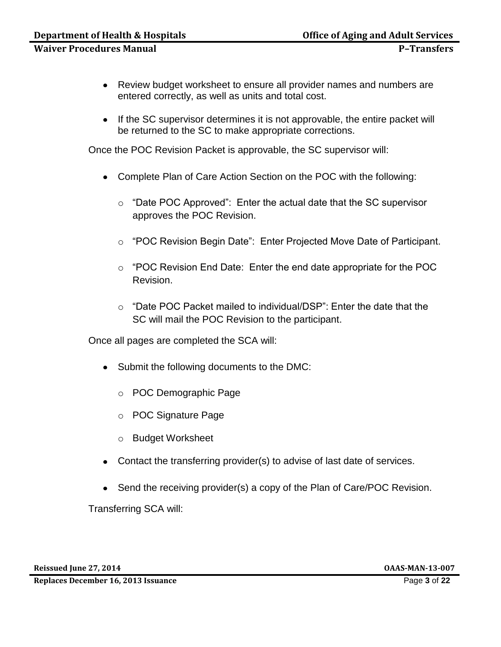- Review budget worksheet to ensure all provider names and numbers are entered correctly, as well as units and total cost.
- If the SC supervisor determines it is not approvable, the entire packet will be returned to the SC to make appropriate corrections.

Once the POC Revision Packet is approvable, the SC supervisor will:

- Complete Plan of Care Action Section on the POC with the following:
	- o "Date POC Approved": Enter the actual date that the SC supervisor approves the POC Revision.
	- o "POC Revision Begin Date": Enter Projected Move Date of Participant.
	- o "POC Revision End Date: Enter the end date appropriate for the POC Revision.
	- $\circ$  "Date POC Packet mailed to individual/DSP": Enter the date that the SC will mail the POC Revision to the participant.

Once all pages are completed the SCA will:

- Submit the following documents to the DMC:
	- o POC Demographic Page
	- o POC Signature Page
	- o Budget Worksheet
- Contact the transferring provider(s) to advise of last date of services.
- Send the receiving provider(s) a copy of the Plan of Care/POC Revision.

Transferring SCA will: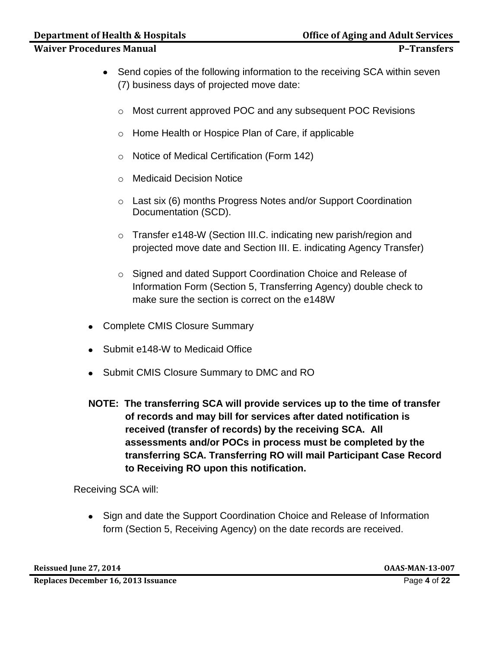# **Department of Health & Hospitals Community Community Community Community Property Community Community Property**

## **Waiver Procedures Manual P–Transfers**

- Send copies of the following information to the receiving SCA within seven (7) business days of projected move date:
	- o Most current approved POC and any subsequent POC Revisions
	- o Home Health or Hospice Plan of Care, if applicable
	- o Notice of Medical Certification (Form 142)
	- o Medicaid Decision Notice
	- o Last six (6) months Progress Notes and/or Support Coordination Documentation (SCD).
	- o Transfer e148-W (Section III.C. indicating new parish/region and projected move date and Section III. E. indicating Agency Transfer)
	- o Signed and dated Support Coordination Choice and Release of Information Form (Section 5, Transferring Agency) double check to make sure the section is correct on the e148W
- Complete CMIS Closure Summary
- Submit e148-W to Medicaid Office
- Submit CMIS Closure Summary to DMC and RO
- **NOTE: The transferring SCA will provide services up to the time of transfer of records and may bill for services after dated notification is received (transfer of records) by the receiving SCA. All assessments and/or POCs in process must be completed by the transferring SCA. Transferring RO will mail Participant Case Record to Receiving RO upon this notification.**

Receiving SCA will:

• Sign and date the Support Coordination Choice and Release of Information form (Section 5, Receiving Agency) on the date records are received.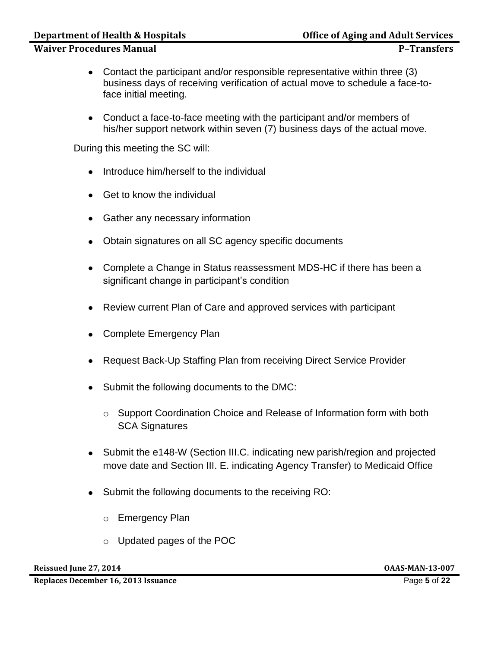#### **Department of Health & Hospitals Concrete Aging and Adult Services**

#### **Waiver Procedures Manual P**–**Transfers**

- Contact the participant and/or responsible representative within three (3) business days of receiving verification of actual move to schedule a face-toface initial meeting.
- Conduct a face-to-face meeting with the participant and/or members of his/her support network within seven (7) business days of the actual move.

During this meeting the SC will:

- Introduce him/herself to the individual
- Get to know the individual
- Gather any necessary information
- Obtain signatures on all SC agency specific documents
- Complete a Change in Status reassessment MDS-HC if there has been a significant change in participant's condition
- Review current Plan of Care and approved services with participant
- Complete Emergency Plan
- Request Back-Up Staffing Plan from receiving Direct Service Provider
- Submit the following documents to the DMC:
	- o Support Coordination Choice and Release of Information form with both SCA Signatures
- Submit the e148-W (Section III.C. indicating new parish/region and projected move date and Section III. E. indicating Agency Transfer) to Medicaid Office
- Submit the following documents to the receiving RO:
	- o Emergency Plan
	- o Updated pages of the POC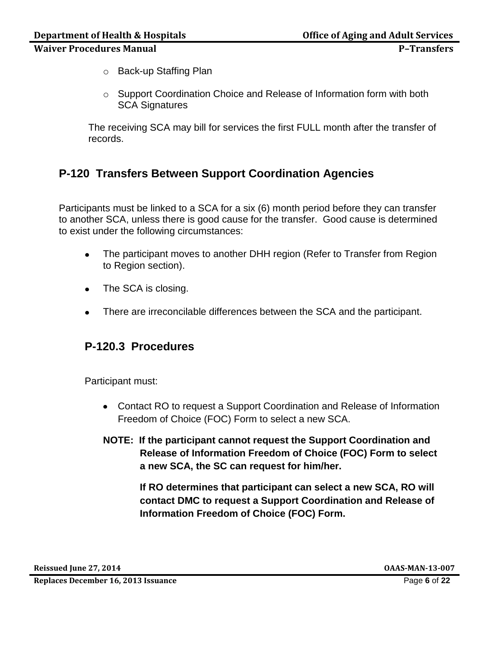- o Back-up Staffing Plan
- o Support Coordination Choice and Release of Information form with both SCA Signatures

The receiving SCA may bill for services the first FULL month after the transfer of records.

# **P-120 Transfers Between Support Coordination Agencies**

Participants must be linked to a SCA for a six (6) month period before they can transfer to another SCA, unless there is good cause for the transfer. Good cause is determined to exist under the following circumstances:

- The participant moves to another DHH region (Refer to Transfer from Region  $\bullet$ to Region section).
- The SCA is closing.  $\bullet$
- There are irreconcilable differences between the SCA and the participant.

# **P-120.3 Procedures**

Participant must:

- Contact RO to request a Support Coordination and Release of Information Freedom of Choice (FOC) Form to select a new SCA.
- **NOTE: If the participant cannot request the Support Coordination and Release of Information Freedom of Choice (FOC) Form to select a new SCA, the SC can request for him/her.**

**If RO determines that participant can select a new SCA, RO will contact DMC to request a Support Coordination and Release of Information Freedom of Choice (FOC) Form.**

**Reissued June 27, 2014 OAAS-MAN-13-007**

**Replaces December 16, 2013 Issuance** Page **6** of **22**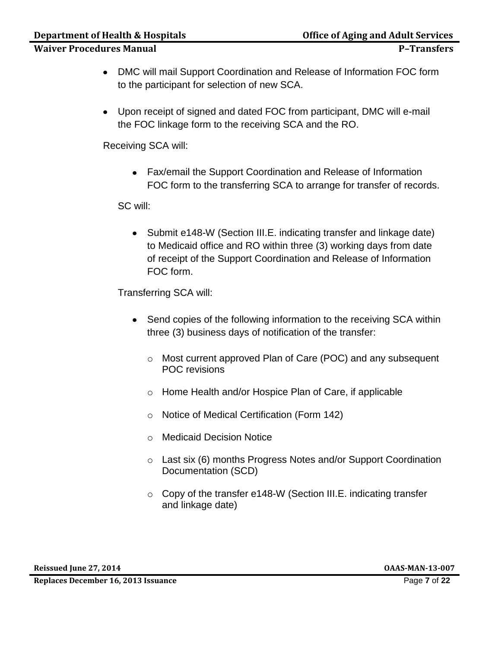- DMC will mail Support Coordination and Release of Information FOC form to the participant for selection of new SCA.
- Upon receipt of signed and dated FOC from participant, DMC will e-mail the FOC linkage form to the receiving SCA and the RO.

Receiving SCA will:

Fax/email the Support Coordination and Release of Information FOC form to the transferring SCA to arrange for transfer of records.

SC will:

• Submit e148-W (Section III.E. indicating transfer and linkage date) to Medicaid office and RO within three (3) working days from date of receipt of the Support Coordination and Release of Information FOC form.

Transferring SCA will:

- Send copies of the following information to the receiving SCA within three (3) business days of notification of the transfer:
	- o Most current approved Plan of Care (POC) and any subsequent POC revisions
	- o Home Health and/or Hospice Plan of Care, if applicable
	- o Notice of Medical Certification (Form 142)
	- o Medicaid Decision Notice
	- o Last six (6) months Progress Notes and/or Support Coordination Documentation (SCD)
	- o Copy of the transfer e148-W (Section III.E. indicating transfer and linkage date)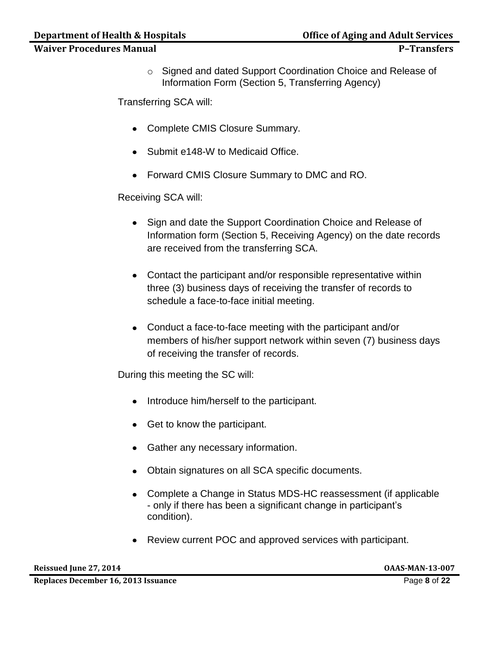o Signed and dated Support Coordination Choice and Release of Information Form (Section 5, Transferring Agency)

Transferring SCA will:

- Complete CMIS Closure Summary.
- Submit e148-W to Medicaid Office.
- Forward CMIS Closure Summary to DMC and RO.

Receiving SCA will:

- Sign and date the Support Coordination Choice and Release of Information form (Section 5, Receiving Agency) on the date records are received from the transferring SCA.
- Contact the participant and/or responsible representative within three (3) business days of receiving the transfer of records to schedule a face-to-face initial meeting.
- Conduct a face-to-face meeting with the participant and/or members of his/her support network within seven (7) business days of receiving the transfer of records.

During this meeting the SC will:

- Introduce him/herself to the participant.
- Get to know the participant.
- Gather any necessary information.
- Obtain signatures on all SCA specific documents.
- Complete a Change in Status MDS-HC reassessment (if applicable - only if there has been a significant change in participant's condition).
- Review current POC and approved services with participant.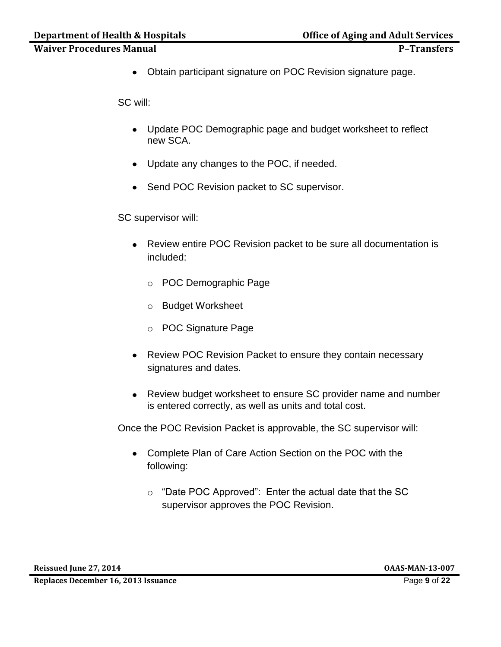Obtain participant signature on POC Revision signature page.

SC will:

- Update POC Demographic page and budget worksheet to reflect new SCA.
- Update any changes to the POC, if needed.
- Send POC Revision packet to SC supervisor.

SC supervisor will:

- Review entire POC Revision packet to be sure all documentation is included:
	- o POC Demographic Page
	- o Budget Worksheet
	- o POC Signature Page
- Review POC Revision Packet to ensure they contain necessary signatures and dates.
- Review budget worksheet to ensure SC provider name and number is entered correctly, as well as units and total cost.

Once the POC Revision Packet is approvable, the SC supervisor will:

- Complete Plan of Care Action Section on the POC with the following:
	- o "Date POC Approved": Enter the actual date that the SC supervisor approves the POC Revision.

**Reissued June 27, 2014 OAAS-MAN-13-007**

**Replaces December 16, 2013 Issuance** Page **9** of **22**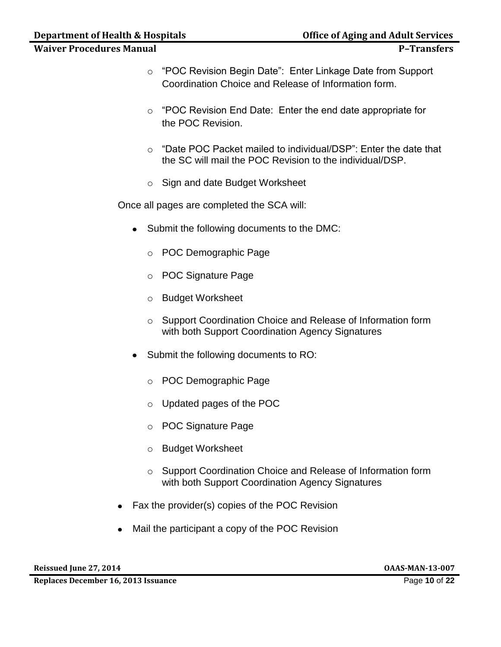- o "POC Revision Begin Date": Enter Linkage Date from Support Coordination Choice and Release of Information form.
- o "POC Revision End Date: Enter the end date appropriate for the POC Revision.
- o "Date POC Packet mailed to individual/DSP": Enter the date that the SC will mail the POC Revision to the individual/DSP.
- o Sign and date Budget Worksheet

Once all pages are completed the SCA will:

- Submit the following documents to the DMC:
	- o POC Demographic Page
	- o POC Signature Page
	- o Budget Worksheet
	- o Support Coordination Choice and Release of Information form with both Support Coordination Agency Signatures
- Submit the following documents to RO:
	- o POC Demographic Page
	- o Updated pages of the POC
	- o POC Signature Page
	- o Budget Worksheet
	- o Support Coordination Choice and Release of Information form with both Support Coordination Agency Signatures
- Fax the provider(s) copies of the POC Revision  $\bullet$
- Mail the participant a copy of the POC Revision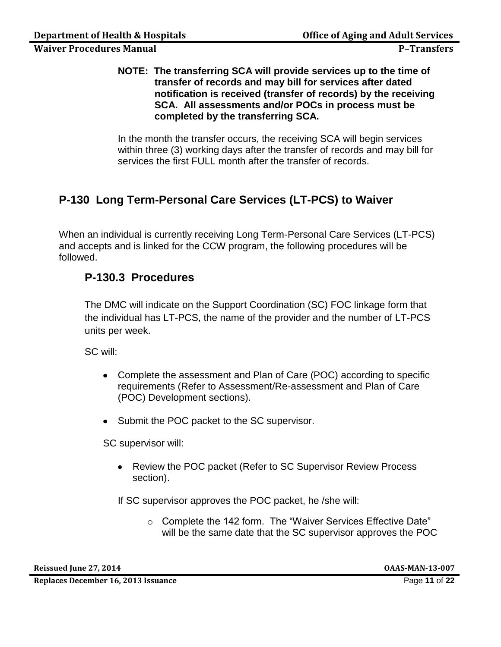#### **NOTE: The transferring SCA will provide services up to the time of transfer of records and may bill for services after dated notification is received (transfer of records) by the receiving SCA. All assessments and/or POCs in process must be completed by the transferring SCA.**

In the month the transfer occurs, the receiving SCA will begin services within three (3) working days after the transfer of records and may bill for services the first FULL month after the transfer of records.

# **P-130 Long Term-Personal Care Services (LT-PCS) to Waiver**

When an individual is currently receiving Long Term-Personal Care Services (LT-PCS) and accepts and is linked for the CCW program, the following procedures will be followed.

# **P-130.3 Procedures**

The DMC will indicate on the Support Coordination (SC) FOC linkage form that the individual has LT-PCS, the name of the provider and the number of LT-PCS units per week.

SC will:

- Complete the assessment and Plan of Care (POC) according to specific requirements (Refer to Assessment/Re-assessment and Plan of Care (POC) Development sections).
- Submit the POC packet to the SC supervisor.

SC supervisor will:

• Review the POC packet (Refer to SC Supervisor Review Process section).

If SC supervisor approves the POC packet, he /she will:

o Complete the 142 form. The "Waiver Services Effective Date" will be the same date that the SC supervisor approves the POC

**Reissued June 27, 2014 OAAS-MAN-13-007**

**Replaces December 16, 2013 Issuance** Page **11** of **22**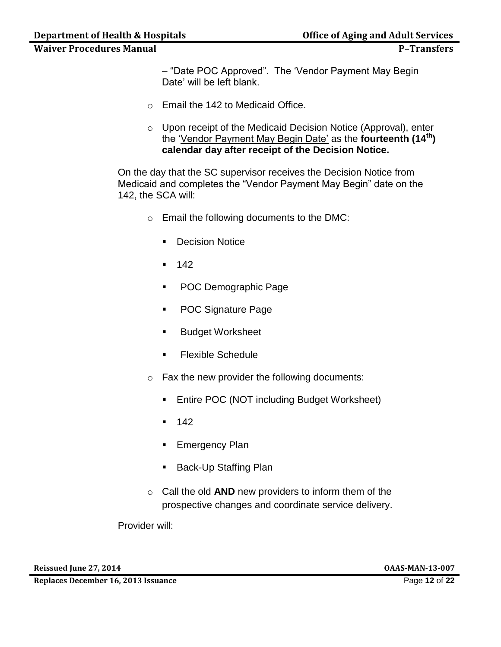– "Date POC Approved". The 'Vendor Payment May Begin Date' will be left blank.

- o Email the 142 to Medicaid Office.
- o Upon receipt of the Medicaid Decision Notice (Approval), enter the 'Vendor Payment May Begin Date' as the **fourteenth (14th) calendar day after receipt of the Decision Notice.**

On the day that the SC supervisor receives the Decision Notice from Medicaid and completes the "Vendor Payment May Begin" date on the 142, the SCA will:

- o Email the following documents to the DMC:
	- **Decision Notice**
	- $-142$
	- **POC Demographic Page**
	- **POC Signature Page**
	- **Budget Worksheet**
	- **Flexible Schedule**
- o Fax the new provider the following documents:
	- **Entire POC (NOT including Budget Worksheet)**
	- $-142$
	- **Emergency Plan**
	- **Back-Up Staffing Plan**
- o Call the old **AND** new providers to inform them of the prospective changes and coordinate service delivery.

Provider will:

**Reissued June 27, 2014 OAAS-MAN-13-007**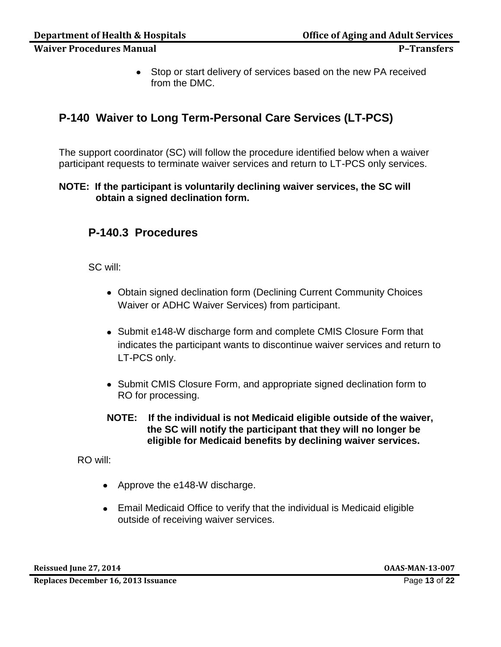• Stop or start delivery of services based on the new PA received from the DMC.

# **P-140 Waiver to Long Term-Personal Care Services (LT-PCS)**

The support coordinator (SC) will follow the procedure identified below when a waiver participant requests to terminate waiver services and return to LT-PCS only services.

#### **NOTE: If the participant is voluntarily declining waiver services, the SC will obtain a signed declination form.**

# **P-140.3 Procedures**

SC will:

- Obtain signed declination form (Declining Current Community Choices Waiver or ADHC Waiver Services) from participant.
- Submit e148-W discharge form and complete CMIS Closure Form that indicates the participant wants to discontinue waiver services and return to LT-PCS only.
- Submit CMIS Closure Form, and appropriate signed declination form to RO for processing.
- **NOTE: If the individual is not Medicaid eligible outside of the waiver, the SC will notify the participant that they will no longer be eligible for Medicaid benefits by declining waiver services.**

RO will:

- Approve the e148-W discharge.
- Email Medicaid Office to verify that the individual is Medicaid eligible outside of receiving waiver services.

**Reissued June 27, 2014 OAAS-MAN-13-007**

**Replaces December 16, 2013 Issuance** Page **13** of **22**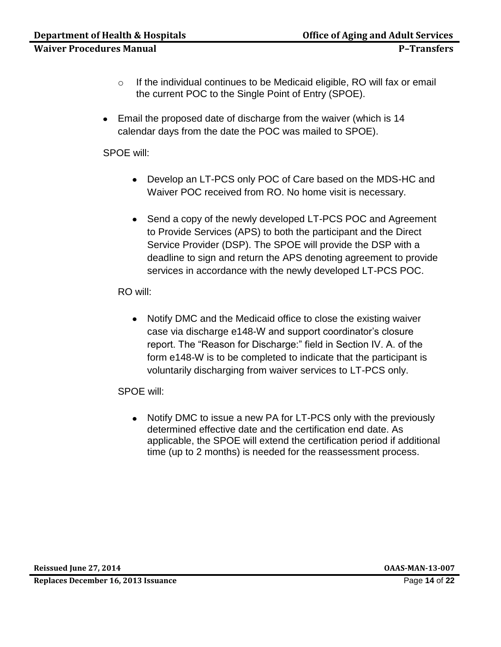- o If the individual continues to be Medicaid eligible, RO will fax or email the current POC to the Single Point of Entry (SPOE).
- Email the proposed date of discharge from the waiver (which is 14 calendar days from the date the POC was mailed to SPOE).

SPOE will:

- Develop an LT-PCS only POC of Care based on the MDS-HC and Waiver POC received from RO. No home visit is necessary.
- Send a copy of the newly developed LT-PCS POC and Agreement to Provide Services (APS) to both the participant and the Direct Service Provider (DSP). The SPOE will provide the DSP with a deadline to sign and return the APS denoting agreement to provide services in accordance with the newly developed LT-PCS POC.

RO will:

• Notify DMC and the Medicaid office to close the existing waiver case via discharge e148-W and support coordinator's closure report. The "Reason for Discharge:" field in Section IV. A. of the form e148-W is to be completed to indicate that the participant is voluntarily discharging from waiver services to LT-PCS only.

SPOE will:

• Notify DMC to issue a new PA for LT-PCS only with the previously determined effective date and the certification end date. As applicable, the SPOE will extend the certification period if additional time (up to 2 months) is needed for the reassessment process.

**Reissued June 27, 2014 OAAS-MAN-13-007**

**Replaces December 16, 2013 Issuance** Page **14** of **22**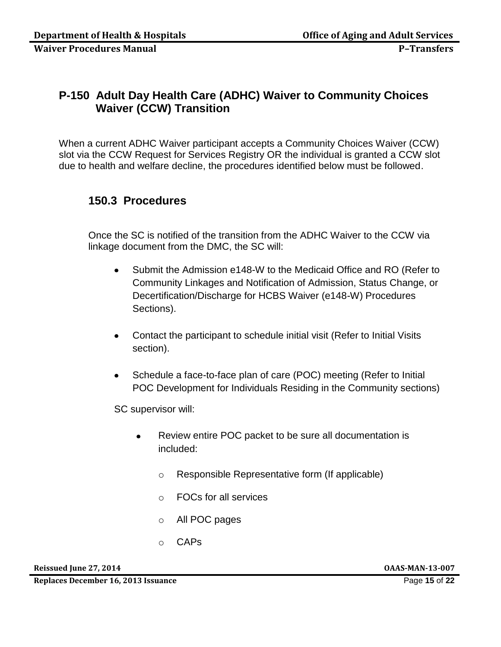# **P-150 Adult Day Health Care (ADHC) Waiver to Community Choices Waiver (CCW) Transition**

When a current ADHC Waiver participant accepts a Community Choices Waiver (CCW) slot via the CCW Request for Services Registry OR the individual is granted a CCW slot due to health and welfare decline, the procedures identified below must be followed.

## **150.3 Procedures**

Once the SC is notified of the transition from the ADHC Waiver to the CCW via linkage document from the DMC, the SC will:

- Submit the Admission e148-W to the Medicaid Office and RO (Refer to  $\bullet$ Community Linkages and Notification of Admission, Status Change, or Decertification/Discharge for HCBS Waiver (e148-W) Procedures Sections).
- Contact the participant to schedule initial visit (Refer to Initial Visits section).
- Schedule a face-to-face plan of care (POC) meeting (Refer to Initial  $\bullet$ POC Development for Individuals Residing in the Community sections)

SC supervisor will:

- Review entire POC packet to be sure all documentation is  $\bullet$ included:
	- o Responsible Representative form (If applicable)
	- o FOCs for all services
	- o All POC pages
	- o CAPs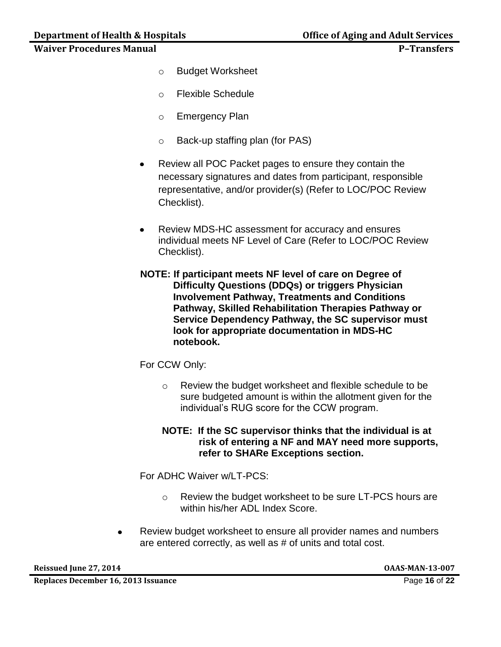- o Budget Worksheet
- o Flexible Schedule
- o Emergency Plan
- o Back-up staffing plan (for PAS)
- Review all POC Packet pages to ensure they contain the  $\bullet$ necessary signatures and dates from participant, responsible representative, and/or provider(s) (Refer to LOC/POC Review Checklist).
- $\bullet$ Review MDS-HC assessment for accuracy and ensures individual meets NF Level of Care (Refer to LOC/POC Review Checklist).
- **NOTE: If participant meets NF level of care on Degree of Difficulty Questions (DDQs) or triggers Physician Involvement Pathway, Treatments and Conditions Pathway, Skilled Rehabilitation Therapies Pathway or Service Dependency Pathway, the SC supervisor must look for appropriate documentation in MDS-HC notebook.**

#### For CCW Only:

- o Review the budget worksheet and flexible schedule to be sure budgeted amount is within the allotment given for the individual's RUG score for the CCW program.
- **NOTE: If the SC supervisor thinks that the individual is at risk of entering a NF and MAY need more supports, refer to SHARe Exceptions section.**

For ADHC Waiver w/LT-PCS:

- o Review the budget worksheet to be sure LT-PCS hours are within his/her ADL Index Score.
- Review budget worksheet to ensure all provider names and numbers are entered correctly, as well as # of units and total cost.

**Reissued June 27, 2014 OAAS-MAN-13-007**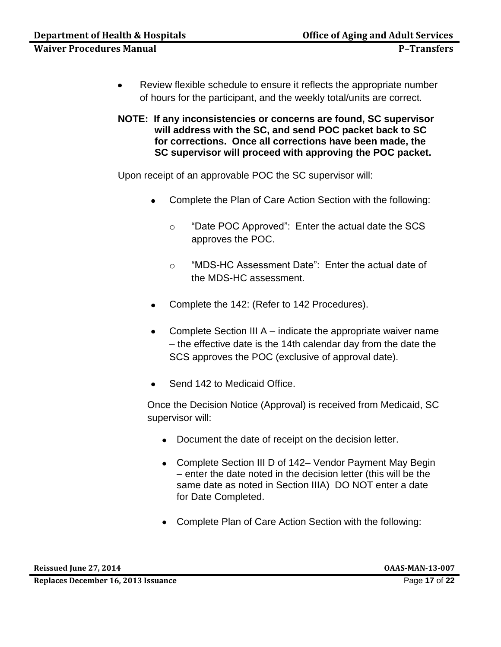- $\bullet$ Review flexible schedule to ensure it reflects the appropriate number of hours for the participant, and the weekly total/units are correct.
- **NOTE: If any inconsistencies or concerns are found, SC supervisor will address with the SC, and send POC packet back to SC for corrections. Once all corrections have been made, the SC supervisor will proceed with approving the POC packet.**

Upon receipt of an approvable POC the SC supervisor will:

- Complete the Plan of Care Action Section with the following:
	- o "Date POC Approved": Enter the actual date the SCS approves the POC.
	- o "MDS-HC Assessment Date": Enter the actual date of the MDS-HC assessment.
- Complete the 142: (Refer to 142 Procedures).
- Complete Section III A indicate the appropriate waiver name – the effective date is the 14th calendar day from the date the SCS approves the POC (exclusive of approval date).
- Send 142 to Medicaid Office.

Once the Decision Notice (Approval) is received from Medicaid, SC supervisor will:

- Document the date of receipt on the decision letter.
- Complete Section III D of 142– Vendor Payment May Begin – enter the date noted in the decision letter (this will be the same date as noted in Section IIIA) DO NOT enter a date for Date Completed.
- Complete Plan of Care Action Section with the following: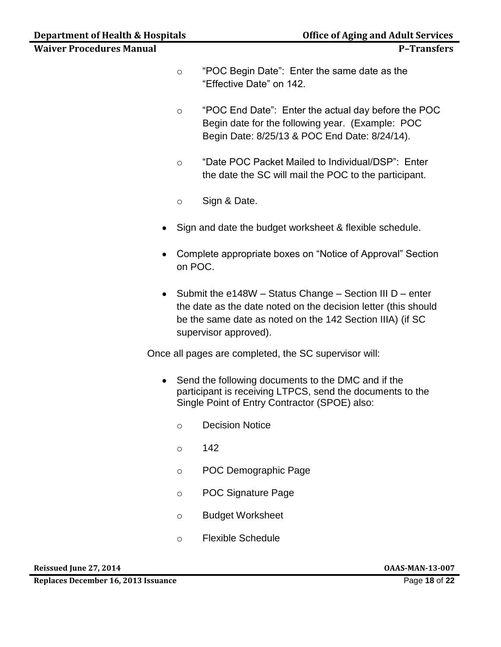- o "POC Begin Date": Enter the same date as the "Effective Date" on 142.
- o "POC End Date": Enter the actual day before the POC Begin date for the following year. (Example: POC Begin Date: 8/25/13 & POC End Date: 8/24/14).
- o "Date POC Packet Mailed to Individual/DSP": Enter the date the SC will mail the POC to the participant.
- o Sign & Date.
- Sign and date the budget worksheet & flexible schedule.  $\bullet$
- Complete appropriate boxes on "Notice of Approval" Section on POC.
- Submit the e148W Status Change Section III D enter the date as the date noted on the decision letter (this should be the same date as noted on the 142 Section IIIA) (if SC supervisor approved).

Once all pages are completed, the SC supervisor will:

- Send the following documents to the DMC and if the participant is receiving LTPCS, send the documents to the Single Point of Entry Contractor (SPOE) also:
	- o Decision Notice
	- $\circ$  142
	- o POC Demographic Page
	- o POC Signature Page
	- o Budget Worksheet
	- o Flexible Schedule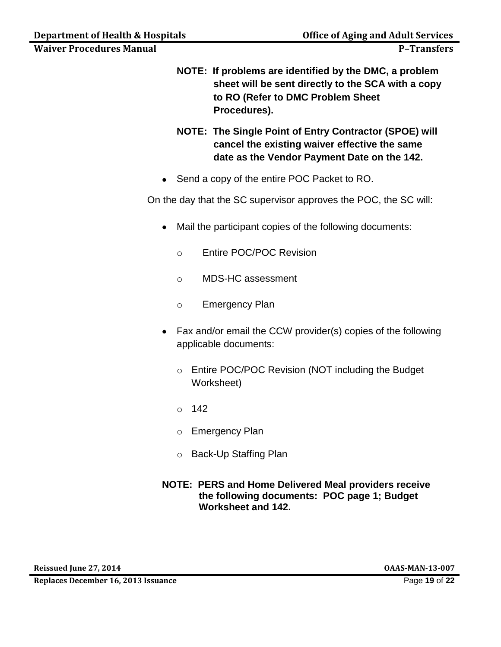- **NOTE: If problems are identified by the DMC, a problem sheet will be sent directly to the SCA with a copy** 
	- **to RO (Refer to DMC Problem Sheet Procedures).**
	- **NOTE: The Single Point of Entry Contractor (SPOE) will cancel the existing waiver effective the same date as the Vendor Payment Date on the 142.**
	- Send a copy of the entire POC Packet to RO.

On the day that the SC supervisor approves the POC, the SC will:

- Mail the participant copies of the following documents:  $\bullet$ 
	- o Entire POC/POC Revision
	- o MDS-HC assessment
	- o Emergency Plan
- Fax and/or email the CCW provider(s) copies of the following applicable documents:
	- o Entire POC/POC Revision (NOT including the Budget Worksheet)
	- o 142
	- o Emergency Plan
	- o Back-Up Staffing Plan
- **NOTE: PERS and Home Delivered Meal providers receive the following documents: POC page 1; Budget Worksheet and 142.**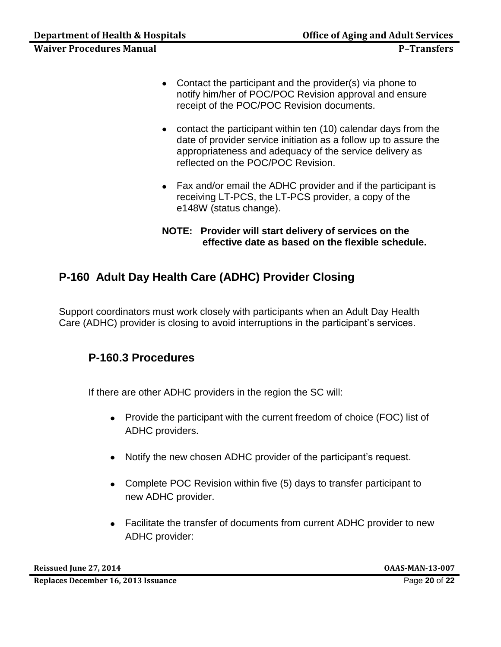- Contact the participant and the provider(s) via phone to notify him/her of POC/POC Revision approval and ensure receipt of the POC/POC Revision documents.
- contact the participant within ten (10) calendar days from the date of provider service initiation as a follow up to assure the appropriateness and adequacy of the service delivery as reflected on the POC/POC Revision.
- Fax and/or email the ADHC provider and if the participant is receiving LT-PCS, the LT-PCS provider, a copy of the e148W (status change).
- **NOTE: Provider will start delivery of services on the effective date as based on the flexible schedule.**

# **P-160 Adult Day Health Care (ADHC) Provider Closing**

Support coordinators must work closely with participants when an Adult Day Health Care (ADHC) provider is closing to avoid interruptions in the participant's services.

# **P-160.3 Procedures**

If there are other ADHC providers in the region the SC will:

- Provide the participant with the current freedom of choice (FOC) list of ADHC providers.
- Notify the new chosen ADHC provider of the participant's request.
- Complete POC Revision within five (5) days to transfer participant to new ADHC provider.
- Facilitate the transfer of documents from current ADHC provider to new ADHC provider: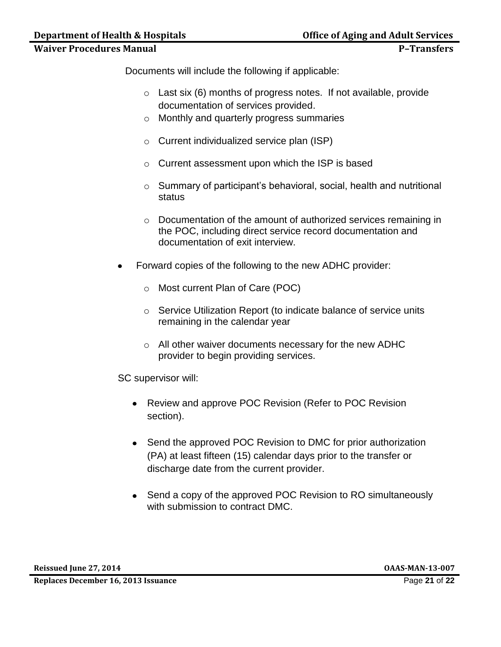Documents will include the following if applicable:

- o Last six (6) months of progress notes. If not available, provide documentation of services provided.
- o Monthly and quarterly progress summaries
- o Current individualized service plan (ISP)
- o Current assessment upon which the ISP is based
- o Summary of participant's behavioral, social, health and nutritional status
- o Documentation of the amount of authorized services remaining in the POC, including direct service record documentation and documentation of exit interview.
- Forward copies of the following to the new ADHC provider:
	- o Most current Plan of Care (POC)
	- o Service Utilization Report (to indicate balance of service units remaining in the calendar year
	- o All other waiver documents necessary for the new ADHC provider to begin providing services.

SC supervisor will:

- Review and approve POC Revision (Refer to POC Revision section).
- Send the approved POC Revision to DMC for prior authorization (PA) at least fifteen (15) calendar days prior to the transfer or discharge date from the current provider.
- Send a copy of the approved POC Revision to RO simultaneously with submission to contract DMC.